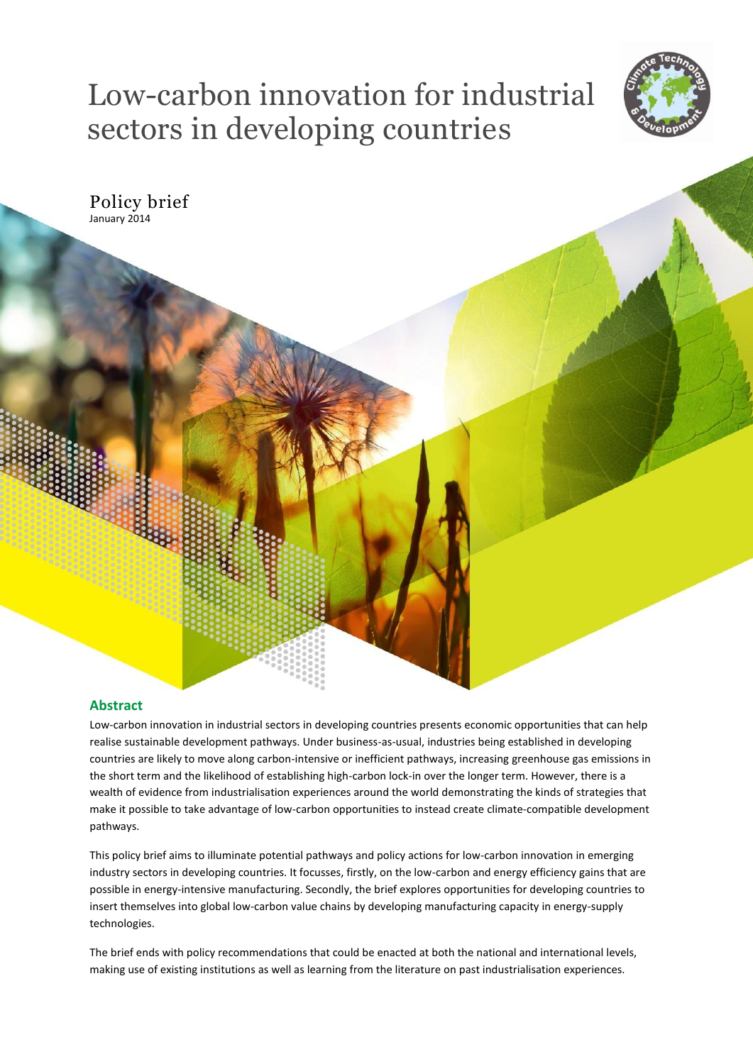# Low-carbon innovation for industrial sectors in developing countries



Policy brief January 2014

# **Abstract**

Low-carbon innovation in industrial sectors in developing countries presents economic opportunities that can help realise sustainable development pathways. Under business-as-usual, industries being established in developing countries are likely to move along carbon-intensive or inefficient pathways, increasing greenhouse gas emissions in the short term and the likelihood of establishing high-carbon lock-in over the longer term. However, there is a wealth of evidence from industrialisation experiences around the world demonstrating the kinds of strategies that make it possible to take advantage of low-carbon opportunities to instead create climate-compatible development pathways.

This policy brief aims to illuminate potential pathways and policy actions for low-carbon innovation in emerging industry sectors in developing countries. It focusses, firstly, on the low-carbon and energy efficiency gains that are possible in energy-intensive manufacturing. Secondly, the brief explores opportunities for developing countries to insert themselves into global low-carbon value chains by developing manufacturing capacity in energy-supply technologies.

The brief ends with policy recommendations that could be enacted at both the national and international levels, making use of existing institutions as well as learning from the literature on past industrialisation experiences.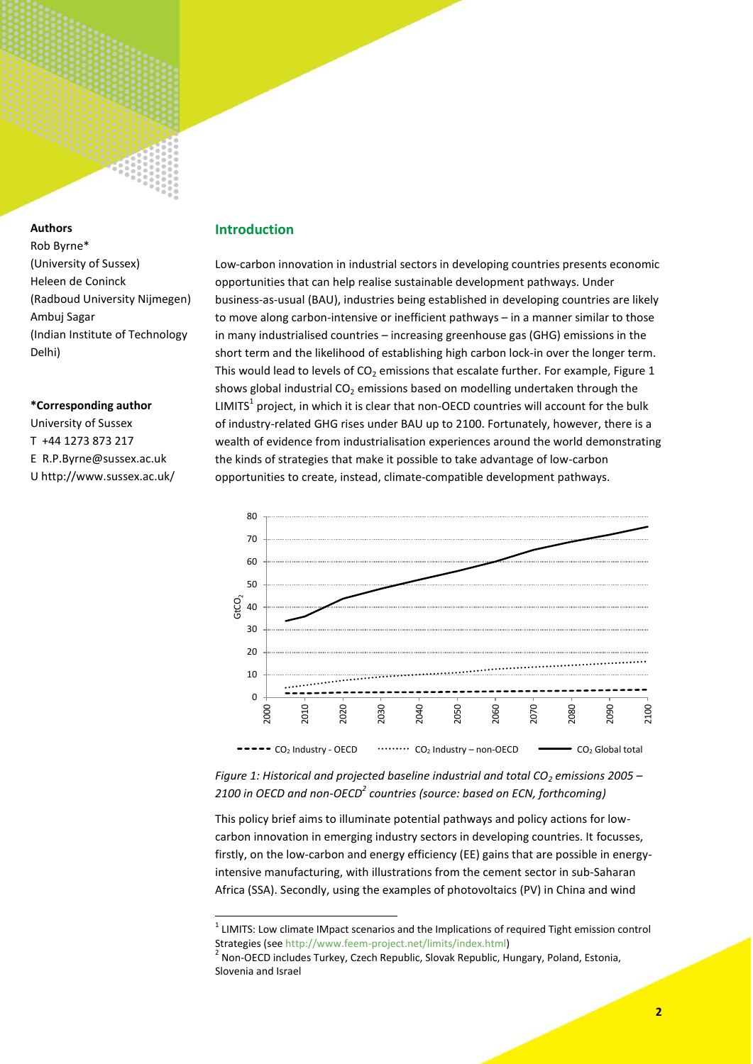

# **Authors**

Rob Byrne\* (University of Sussex) Heleen de Coninck (Radboud University Nijmegen) Ambuj Sagar (Indian Institute of Technology Delhi)

# **\*Corresponding author**

University of Sussex T +44 1273 873 217 E R.P.Byrne@sussex.ac.uk U http://www.sussex.ac.uk/

# **Introduction**

Low-carbon innovation in industrial sectors in developing countries presents economic opportunities that can help realise sustainable development pathways. Under business-as-usual (BAU), industries being established in developing countries are likely to move along carbon-intensive or inefficient pathways – in a manner similar to those in many industrialised countries – increasing greenhouse gas (GHG) emissions in the short term and the likelihood of establishing high carbon lock-in over the longer term. This would lead to levels of  $CO<sub>2</sub>$  emissions that escalate further. For example, Figure 1 shows global industrial  $CO<sub>2</sub>$  emissions based on modelling undertaken through the LIMITS<sup>1</sup> project, in which it is clear that non-OECD countries will account for the bulk of industry-related GHG rises under BAU up to 2100. Fortunately, however, there is a wealth of evidence from industrialisation experiences around the world demonstrating the kinds of strategies that make it possible to take advantage of low-carbon opportunities to create, instead, climate-compatible development pathways.



*Figure 1: Historical and projected baseline industrial and total CO<sup>2</sup> emissions 2005 – 2100 in OECD and non-OECD<sup>2</sup> countries (source: based on ECN, forthcoming)*

This policy brief aims to illuminate potential pathways and policy actions for lowcarbon innovation in emerging industry sectors in developing countries. It focusses, firstly, on the low-carbon and energy efficiency (EE) gains that are possible in energyintensive manufacturing, with illustrations from the cement sector in sub-Saharan Africa (SSA). Secondly, using the examples of photovoltaics (PV) in China and wind

 1 LIMITS: Low climate IMpact scenarios and the Implications of required Tight emission control Strategies (see [http://www.feem-project.net/limits/index.html\)](http://www.feem-project.net/limits/index.html)

<sup>&</sup>lt;sup>2</sup> Non-OECD includes Turkey, Czech Republic, Slovak Republic, Hungary, Poland, Estonia, Slovenia and Israel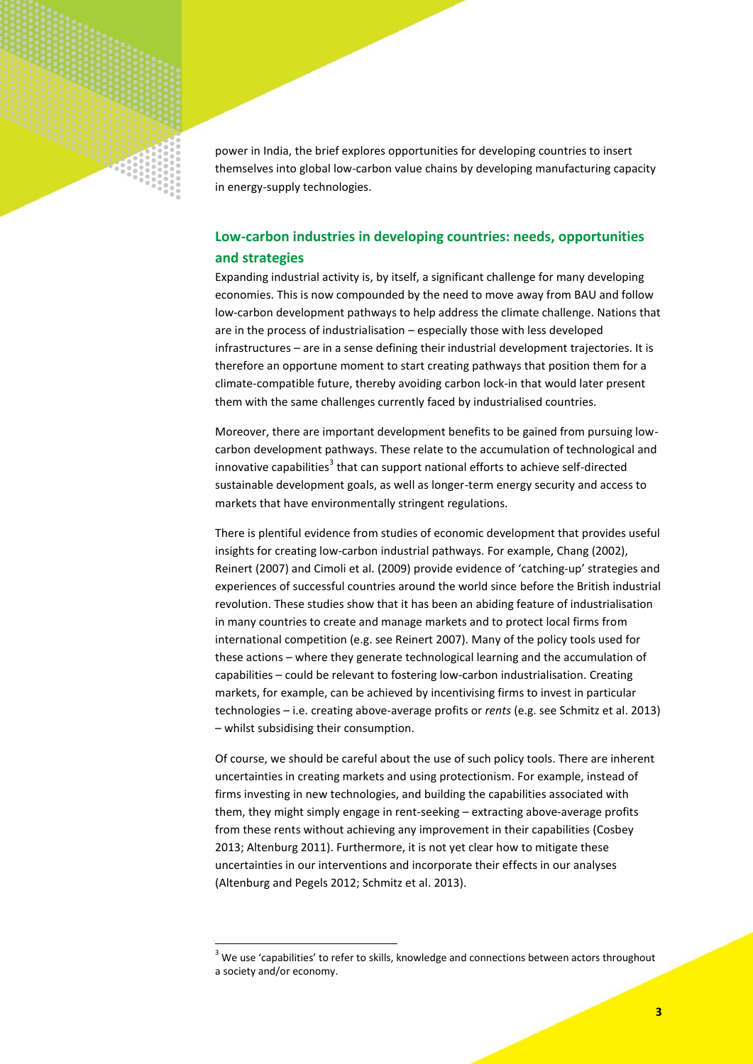

# **Low-carbon industries in developing countries: needs, opportunities and strategies**

Expanding industrial activity is, by itself, a significant challenge for many developing economies. This is now compounded by the need to move away from BAU and follow low-carbon development pathways to help address the climate challenge. Nations that are in the process of industrialisation – especially those with less developed infrastructures – are in a sense defining their industrial development trajectories. It is therefore an opportune moment to start creating pathways that position them for a climate-compatible future, thereby avoiding carbon lock-in that would later present them with the same challenges currently faced by industrialised countries.

Moreover, there are important development benefits to be gained from pursuing lowcarbon development pathways. These relate to the accumulation of technological and innovative capabilities<sup>3</sup> that can support national efforts to achieve self-directed sustainable development goals, as well as longer-term energy security and access to markets that have environmentally stringent regulations.

There is plentiful evidence from studies of economic development that provides useful insights for creating low-carbon industrial pathways. For example, Chang (2002), Reinert (2007) and Cimoli et al. (2009) provide evidence of 'catching-up' strategies and experiences of successful countries around the world since before the British industrial revolution. These studies show that it has been an abiding feature of industrialisation in many countries to create and manage markets and to protect local firms from international competition (e.g. see Reinert 2007). Many of the policy tools used for these actions – where they generate technological learning and the accumulation of capabilities – could be relevant to fostering low-carbon industrialisation. Creating markets, for example, can be achieved by incentivising firms to invest in particular technologies – i.e. creating above-average profits or *rents* (e.g. see Schmitz et al. 2013) – whilst subsidising their consumption.

Of course, we should be careful about the use of such policy tools. There are inherent uncertainties in creating markets and using protectionism. For example, instead of firms investing in new technologies, and building the capabilities associated with them, they might simply engage in rent-seeking – extracting above-average profits from these rents without achieving any improvement in their capabilities (Cosbey 2013; Altenburg 2011). Furthermore, it is not yet clear how to mitigate these uncertainties in our interventions and incorporate their effects in our analyses (Altenburg and Pegels 2012; Schmitz et al. 2013).

**.** 

<sup>&</sup>lt;sup>3</sup> We use 'capabilities' to refer to skills, knowledge and connections between actors throughout a society and/or economy.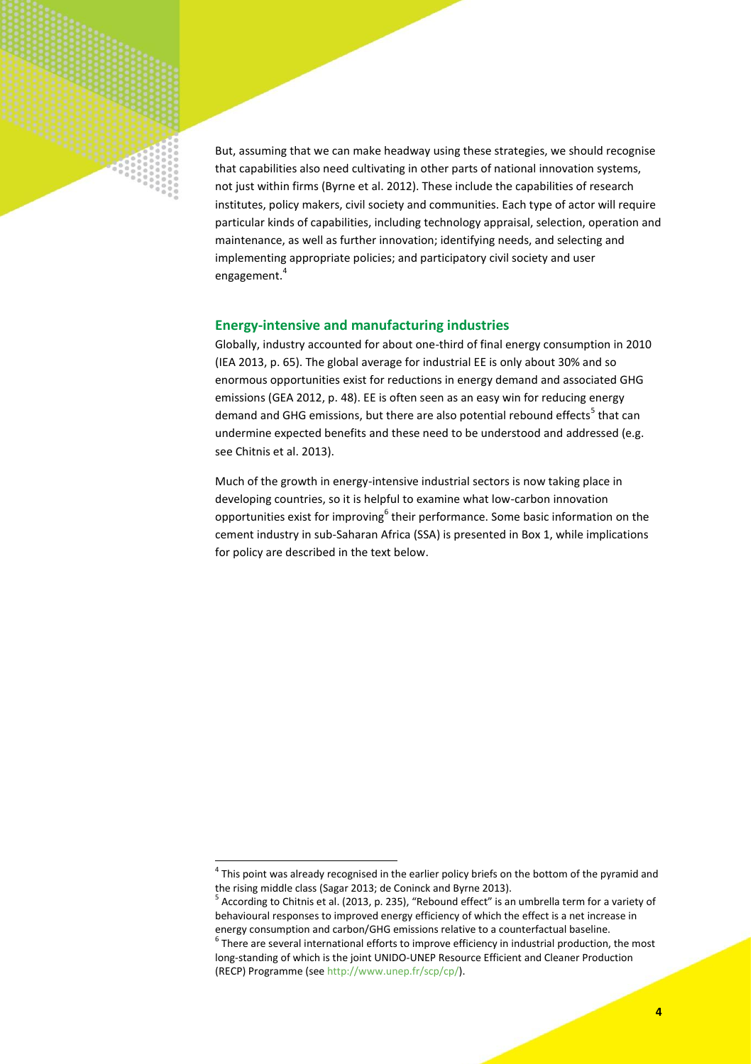

But, assuming that we can make headway using these strategies, we should recognise that capabilities also need cultivating in other parts of national innovation systems, not just within firms (Byrne et al. 2012). These include the capabilities of research institutes, policy makers, civil society and communities. Each type of actor will require particular kinds of capabilities, including technology appraisal, selection, operation and maintenance, as well as further innovation; identifying needs, and selecting and implementing appropriate policies; and participatory civil society and user engagement.<sup>4</sup>

# **Energy-intensive and manufacturing industries**

Globally, industry accounted for about one-third of final energy consumption in 2010 (IEA 2013, p. 65). The global average for industrial EE is only about 30% and so enormous opportunities exist for reductions in energy demand and associated GHG emissions (GEA 2012, p. 48). EE is often seen as an easy win for reducing energy demand and GHG emissions, but there are also potential rebound effects<sup>5</sup> that can undermine expected benefits and these need to be understood and addressed (e.g. see Chitnis et al. 2013).

Much of the growth in energy-intensive industrial sectors is now taking place in developing countries, so it is helpful to examine what low-carbon innovation opportunities exist for improving<sup>6</sup> their performance. Some basic information on the cement industry in sub-Saharan Africa (SSA) is presented in Box 1, while implications for policy are described in the text below.

1

 $<sup>4</sup>$  This point was already recognised in the earlier policy briefs on the bottom of the pyramid and</sup> the rising middle class (Sagar 2013; de Coninck and Byrne 2013).

<sup>&</sup>lt;sup>5</sup> According to Chitnis et al. (2013, p. 235), "Rebound effect" is an umbrella term for a variety of behavioural responses to improved energy efficiency of which the effect is a net increase in energy consumption and carbon/GHG emissions relative to a counterfactual baseline.

 $<sup>6</sup>$  There are several international efforts to improve efficiency in industrial production, the most</sup> long-standing of which is the joint UNIDO-UNEP Resource Efficient and Cleaner Production (RECP) Programme (se[e http://www.unep.fr/scp/cp/\)](http://www.unep.fr/scp/cp/).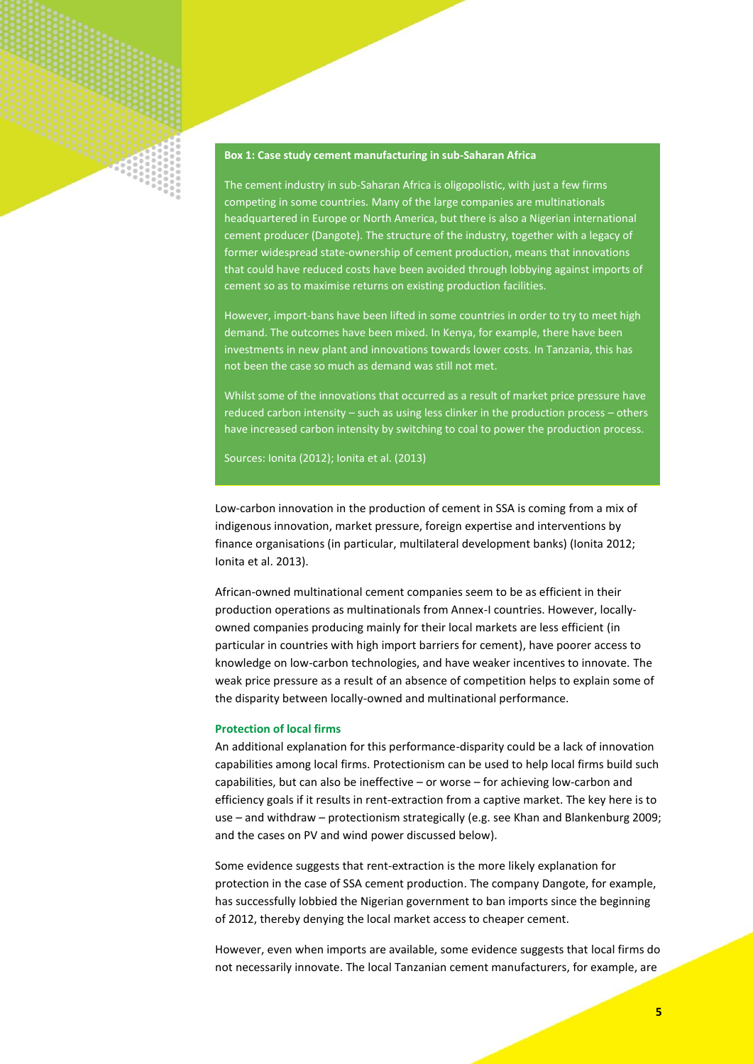

# **Box 1: Case study cement manufacturing in sub-Saharan Africa**

The cement industry in sub-Saharan Africa is oligopolistic, with just a few firms competing in some countries. Many of the large companies are multinationals headquartered in Europe or North America, but there is also a Nigerian international cement producer (Dangote). The structure of the industry, together with a legacy of former widespread state-ownership of cement production, means that innovations that could have reduced costs have been avoided through lobbying against imports of cement so as to maximise returns on existing production facilities.

However, import-bans have been lifted in some countries in order to try to meet high demand. The outcomes have been mixed. In Kenya, for example, there have been investments in new plant and innovations towards lower costs. In Tanzania, this has not been the case so much as demand was still not met.

Whilst some of the innovations that occurred as a result of market price pressure have reduced carbon intensity – such as using less clinker in the production process – others have increased carbon intensity by switching to coal to power the production process.

Sources: Ionita (2012); Ionita et al. (2013)

Low-carbon innovation in the production of cement in SSA is coming from a mix of indigenous innovation, market pressure, foreign expertise and interventions by finance organisations (in particular, multilateral development banks) (Ionita 2012; Ionita et al. 2013).

African-owned multinational cement companies seem to be as efficient in their production operations as multinationals from Annex-I countries. However, locallyowned companies producing mainly for their local markets are less efficient (in particular in countries with high import barriers for cement), have poorer access to knowledge on low-carbon technologies, and have weaker incentives to innovate. The weak price pressure as a result of an absence of competition helps to explain some of the disparity between locally-owned and multinational performance.

#### **Protection of local firms**

An additional explanation for this performance-disparity could be a lack of innovation capabilities among local firms. Protectionism can be used to help local firms build such capabilities, but can also be ineffective – or worse – for achieving low-carbon and efficiency goals if it results in rent-extraction from a captive market. The key here is to use – and withdraw – protectionism strategically (e.g. see Khan and Blankenburg 2009; and the cases on PV and wind power discussed below).

Some evidence suggests that rent-extraction is the more likely explanation for protection in the case of SSA cement production. The company Dangote, for example, has successfully lobbied the Nigerian government to ban imports since the beginning of 2012, thereby denying the local market access to cheaper cement.

However, even when imports are available, some evidence suggests that local firms do not necessarily innovate. The local Tanzanian cement manufacturers, for example, are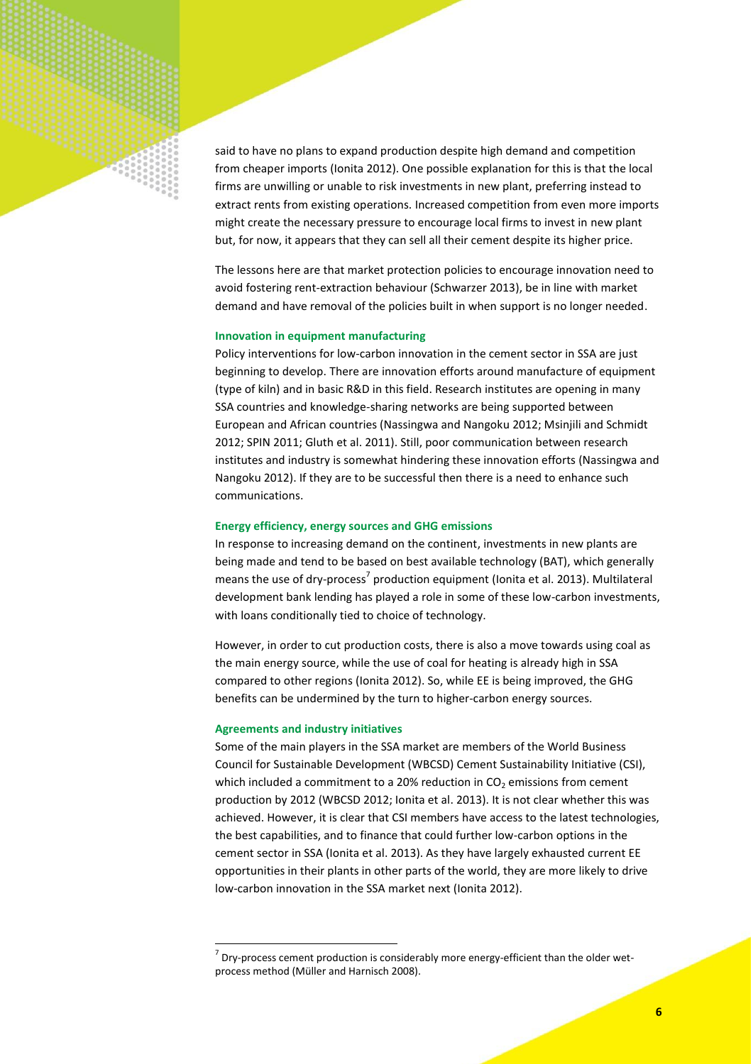said to have no plans to expand production despite high demand and competition from cheaper imports (Ionita 2012). One possible explanation for this is that the local firms are unwilling or unable to risk investments in new plant, preferring instead to extract rents from existing operations. Increased competition from even more imports might create the necessary pressure to encourage local firms to invest in new plant but, for now, it appears that they can sell all their cement despite its higher price.

The lessons here are that market protection policies to encourage innovation need to avoid fostering rent-extraction behaviour (Schwarzer 2013), be in line with market demand and have removal of the policies built in when support is no longer needed.

#### **Innovation in equipment manufacturing**

Policy interventions for low-carbon innovation in the cement sector in SSA are just beginning to develop. There are innovation efforts around manufacture of equipment (type of kiln) and in basic R&D in this field. Research institutes are opening in many SSA countries and knowledge-sharing networks are being supported between European and African countries (Nassingwa and Nangoku 2012; Msinjili and Schmidt 2012; SPIN 2011; Gluth et al. 2011). Still, poor communication between research institutes and industry is somewhat hindering these innovation efforts (Nassingwa and Nangoku 2012). If they are to be successful then there is a need to enhance such communications.

### **Energy efficiency, energy sources and GHG emissions**

In response to increasing demand on the continent, investments in new plants are being made and tend to be based on best available technology (BAT), which generally means the use of dry-process<sup>7</sup> production equipment (Ionita et al. 2013). Multilateral development bank lending has played a role in some of these low-carbon investments, with loans conditionally tied to choice of technology.

However, in order to cut production costs, there is also a move towards using coal as the main energy source, while the use of coal for heating is already high in SSA compared to other regions (Ionita 2012). So, while EE is being improved, the GHG benefits can be undermined by the turn to higher-carbon energy sources.

#### **Agreements and industry initiatives**

**.** 

Some of the main players in the SSA market are members of the World Business Council for Sustainable Development (WBCSD) Cement Sustainability Initiative (CSI), which included a commitment to a 20% reduction in  $CO<sub>2</sub>$  emissions from cement production by 2012 (WBCSD 2012; Ionita et al. 2013). It is not clear whether this was achieved. However, it is clear that CSI members have access to the latest technologies, the best capabilities, and to finance that could further low-carbon options in the cement sector in SSA (Ionita et al. 2013). As they have largely exhausted current EE opportunities in their plants in other parts of the world, they are more likely to drive low-carbon innovation in the SSA market next (Ionita 2012).

 $^7$  Dry-process cement production is considerably more energy-efficient than the older wetprocess method (Müller and Harnisch 2008).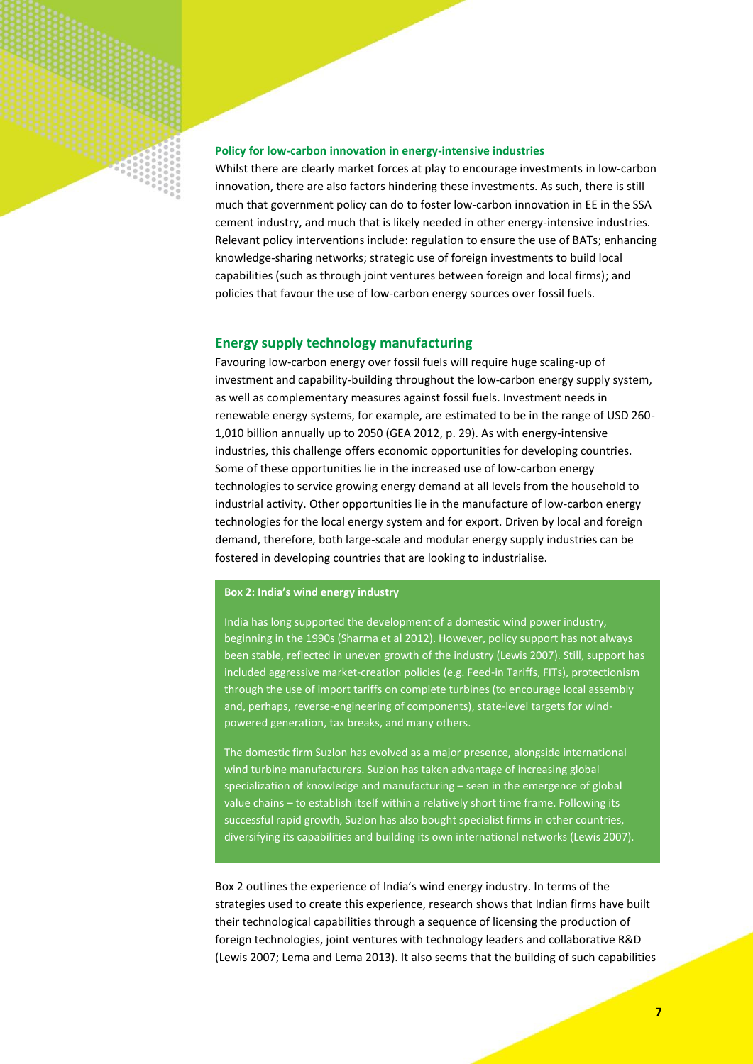# **Policy for low-carbon innovation in energy-intensive industries**

Whilst there are clearly market forces at play to encourage investments in low-carbon innovation, there are also factors hindering these investments. As such, there is still much that government policy can do to foster low-carbon innovation in EE in the SSA cement industry, and much that is likely needed in other energy-intensive industries. Relevant policy interventions include: regulation to ensure the use of BATs; enhancing knowledge-sharing networks; strategic use of foreign investments to build local capabilities (such as through joint ventures between foreign and local firms); and policies that favour the use of low-carbon energy sources over fossil fuels.

# **Energy supply technology manufacturing**

Favouring low-carbon energy over fossil fuels will require huge scaling-up of investment and capability-building throughout the low-carbon energy supply system, as well as complementary measures against fossil fuels. Investment needs in renewable energy systems, for example, are estimated to be in the range of USD 260- 1,010 billion annually up to 2050 (GEA 2012, p. 29). As with energy-intensive industries, this challenge offers economic opportunities for developing countries. Some of these opportunities lie in the increased use of low-carbon energy technologies to service growing energy demand at all levels from the household to industrial activity. Other opportunities lie in the manufacture of low-carbon energy technologies for the local energy system and for export. Driven by local and foreign demand, therefore, both large-scale and modular energy supply industries can be fostered in developing countries that are looking to industrialise.

### **Box 2: India's wind energy industry**

India has long supported the development of a domestic wind power industry, beginning in the 1990s (Sharma et al 2012). However, policy support has not always been stable, reflected in uneven growth of the industry (Lewis 2007). Still, support has included aggressive market-creation policies (e.g. Feed-in Tariffs, FITs), protectionism through the use of import tariffs on complete turbines (to encourage local assembly and, perhaps, reverse-engineering of components), state-level targets for windpowered generation, tax breaks, and many others.

The domestic firm Suzlon has evolved as a major presence, alongside international wind turbine manufacturers. Suzlon has taken advantage of increasing global specialization of knowledge and manufacturing – seen in the emergence of global value chains – to establish itself within a relatively short time frame. Following its successful rapid growth, Suzlon has also bought specialist firms in other countries, diversifying its capabilities and building its own international networks (Lewis 2007).

Box 2 outlines the experience of India's wind energy industry. In terms of the strategies used to create this experience, research shows that Indian firms have built their technological capabilities through a sequence of licensing the production of foreign technologies, joint ventures with technology leaders and collaborative R&D (Lewis 2007; Lema and Lema 2013). It also seems that the building of such capabilities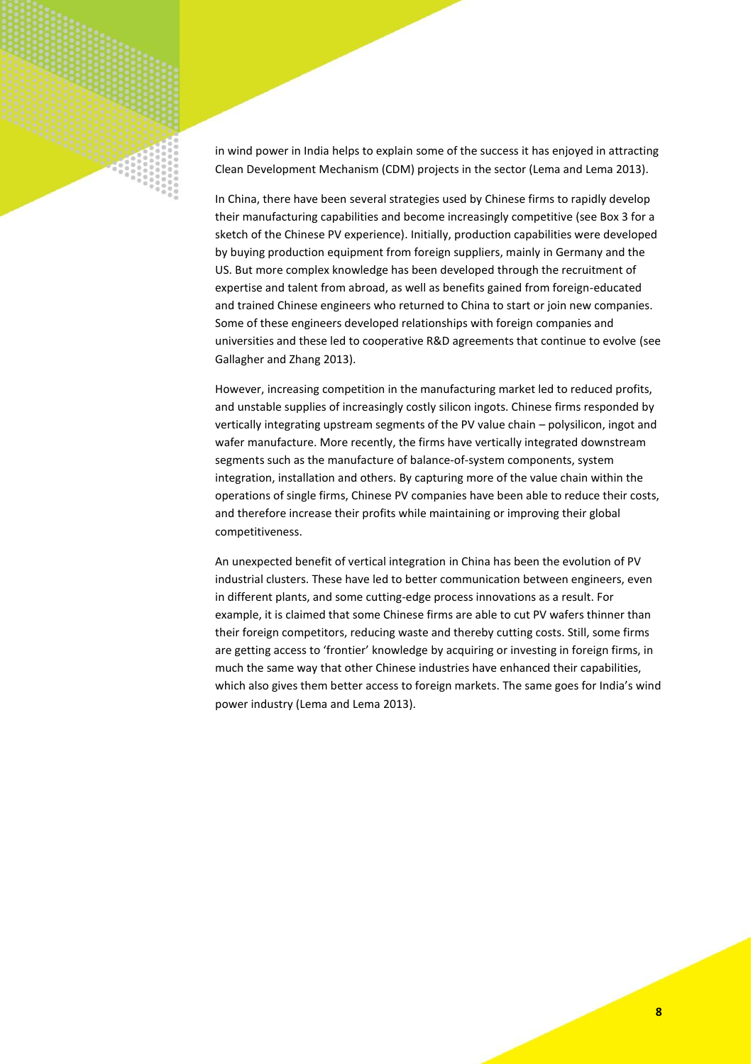in wind power in India helps to explain some of the success it has enjoyed in attracting Clean Development Mechanism (CDM) projects in the sector (Lema and Lema 2013).

In China, there have been several strategies used by Chinese firms to rapidly develop their manufacturing capabilities and become increasingly competitive (see Box 3 for a sketch of the Chinese PV experience). Initially, production capabilities were developed by buying production equipment from foreign suppliers, mainly in Germany and the US. But more complex knowledge has been developed through the recruitment of expertise and talent from abroad, as well as benefits gained from foreign-educated and trained Chinese engineers who returned to China to start or join new companies. Some of these engineers developed relationships with foreign companies and universities and these led to cooperative R&D agreements that continue to evolve (see Gallagher and Zhang 2013).

However, increasing competition in the manufacturing market led to reduced profits, and unstable supplies of increasingly costly silicon ingots. Chinese firms responded by vertically integrating upstream segments of the PV value chain – polysilicon, ingot and wafer manufacture. More recently, the firms have vertically integrated downstream segments such as the manufacture of balance-of-system components, system integration, installation and others. By capturing more of the value chain within the operations of single firms, Chinese PV companies have been able to reduce their costs, and therefore increase their profits while maintaining or improving their global competitiveness.

An unexpected benefit of vertical integration in China has been the evolution of PV industrial clusters. These have led to better communication between engineers, even in different plants, and some cutting-edge process innovations as a result. For example, it is claimed that some Chinese firms are able to cut PV wafers thinner than their foreign competitors, reducing waste and thereby cutting costs. Still, some firms are getting access to 'frontier' knowledge by acquiring or investing in foreign firms, in much the same way that other Chinese industries have enhanced their capabilities, which also gives them better access to foreign markets. The same goes for India's wind power industry (Lema and Lema 2013).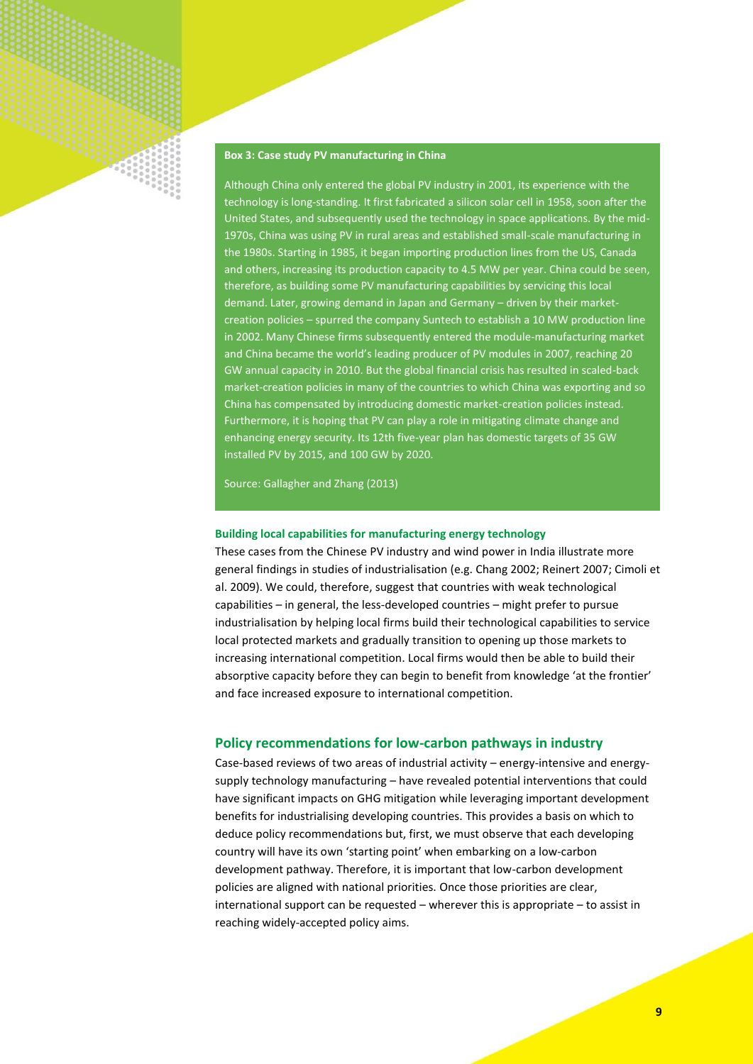

# **Box 3: Case study PV manufacturing in China**

Although China only entered the global PV industry in 2001, its experience with the technology is long-standing. It first fabricated a silicon solar cell in 1958, soon after the United States, and subsequently used the technology in space applications. By the mid-1970s, China was using PV in rural areas and established small-scale manufacturing in the 1980s. Starting in 1985, it began importing production lines from the US, Canada and others, increasing its production capacity to 4.5 MW per year. China could be seen, therefore, as building some PV manufacturing capabilities by servicing this local demand. Later, growing demand in Japan and Germany – driven by their marketcreation policies – spurred the company Suntech to establish a 10 MW production line in 2002. Many Chinese firms subsequently entered the module-manufacturing market and China became the world's leading producer of PV modules in 2007, reaching 20 GW annual capacity in 2010. But the global financial crisis has resulted in scaled-back market-creation policies in many of the countries to which China was exporting and so China has compensated by introducing domestic market-creation policies instead. Furthermore, it is hoping that PV can play a role in mitigating climate change and enhancing energy security. Its 12th five-year plan has domestic targets of 35 GW installed PV by 2015, and 100 GW by 2020.

Source: Gallagher and Zhang (2013)

#### **Building local capabilities for manufacturing energy technology**

These cases from the Chinese PV industry and wind power in India illustrate more general findings in studies of industrialisation (e.g. Chang 2002; Reinert 2007; Cimoli et al. 2009). We could, therefore, suggest that countries with weak technological capabilities – in general, the less-developed countries – might prefer to pursue industrialisation by helping local firms build their technological capabilities to service local protected markets and gradually transition to opening up those markets to increasing international competition. Local firms would then be able to build their absorptive capacity before they can begin to benefit from knowledge 'at the frontier' and face increased exposure to international competition.

# **Policy recommendations for low-carbon pathways in industry**

Case-based reviews of two areas of industrial activity – energy-intensive and energysupply technology manufacturing – have revealed potential interventions that could have significant impacts on GHG mitigation while leveraging important development benefits for industrialising developing countries. This provides a basis on which to deduce policy recommendations but, first, we must observe that each developing country will have its own 'starting point' when embarking on a low-carbon development pathway. Therefore, it is important that low-carbon development policies are aligned with national priorities. Once those priorities are clear, international support can be requested – wherever this is appropriate – to assist in reaching widely-accepted policy aims.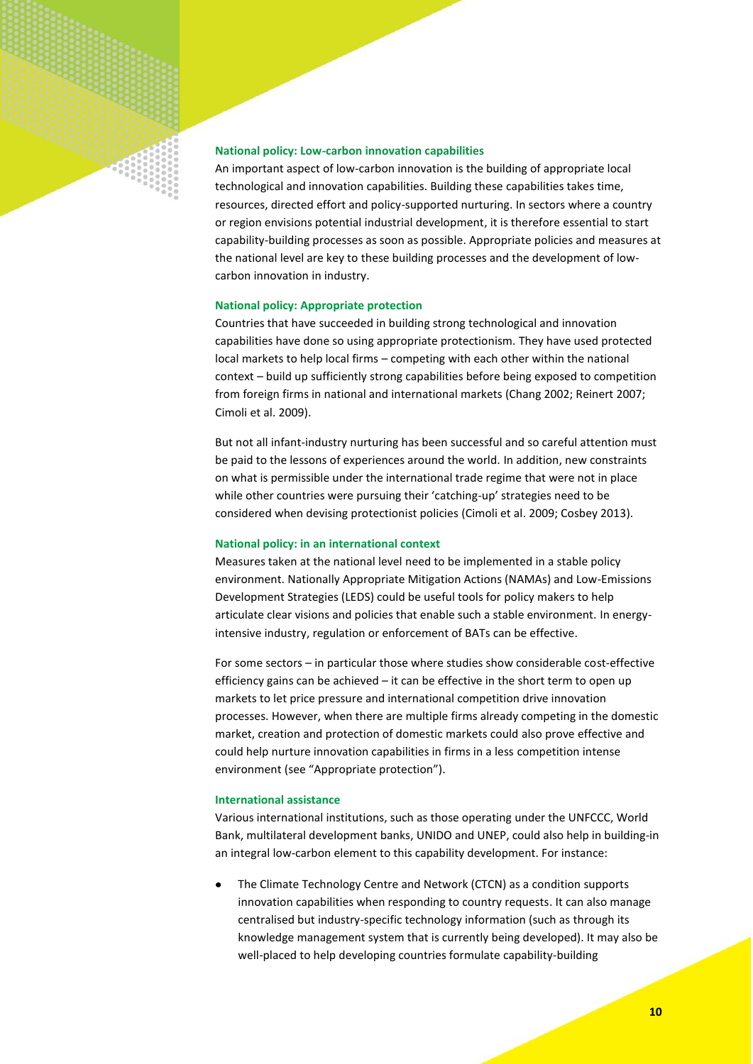

An important aspect of low-carbon innovation is the building of appropriate local technological and innovation capabilities. Building these capabilities takes time, resources, directed effort and policy-supported nurturing. In sectors where a country or region envisions potential industrial development, it is therefore essential to start capability-building processes as soon as possible. Appropriate policies and measures at the national level are key to these building processes and the development of lowcarbon innovation in industry.

# **National policy: Appropriate protection**

Countries that have succeeded in building strong technological and innovation capabilities have done so using appropriate protectionism. They have used protected local markets to help local firms – competing with each other within the national context – build up sufficiently strong capabilities before being exposed to competition from foreign firms in national and international markets (Chang 2002; Reinert 2007; Cimoli et al. 2009).

But not all infant-industry nurturing has been successful and so careful attention must be paid to the lessons of experiences around the world. In addition, new constraints on what is permissible under the international trade regime that were not in place while other countries were pursuing their 'catching-up' strategies need to be considered when devising protectionist policies (Cimoli et al. 2009; Cosbey 2013).

#### **National policy: in an international context**

Measures taken at the national level need to be implemented in a stable policy environment. Nationally Appropriate Mitigation Actions (NAMAs) and Low-Emissions Development Strategies (LEDS) could be useful tools for policy makers to help articulate clear visions and policies that enable such a stable environment. In energyintensive industry, regulation or enforcement of BATs can be effective.

For some sectors – in particular those where studies show considerable cost-effective efficiency gains can be achieved – it can be effective in the short term to open up markets to let price pressure and international competition drive innovation processes. However, when there are multiple firms already competing in the domestic market, creation and protection of domestic markets could also prove effective and could help nurture innovation capabilities in firms in a less competition intense environment (see "Appropriate protection").

#### **International assistance**

Various international institutions, such as those operating under the UNFCCC, World Bank, multilateral development banks, UNIDO and UNEP, could also help in building-in an integral low-carbon element to this capability development. For instance:

The Climate Technology Centre and Network (CTCN) as a condition supports innovation capabilities when responding to country requests. It can also manage centralised but industry-specific technology information (such as through its knowledge management system that is currently being developed). It may also be well-placed to help developing countries formulate capability-building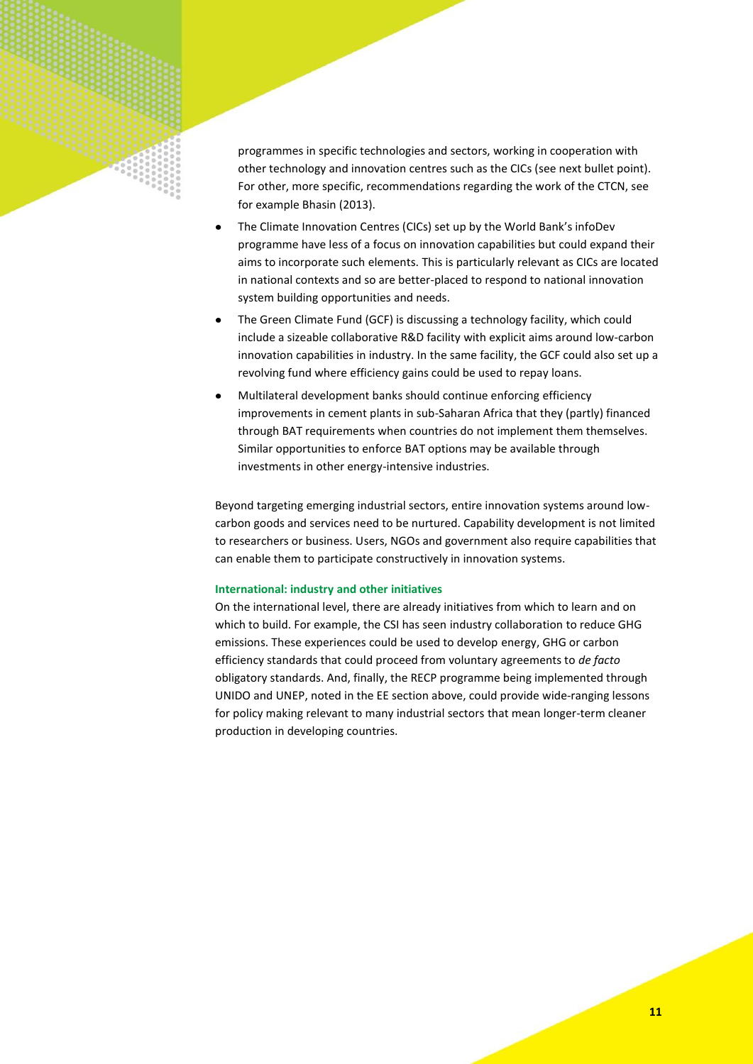

programmes in specific technologies and sectors, working in cooperation with other technology and innovation centres such as the CICs (see next bullet point). For other, more specific, recommendations regarding the work of the CTCN, see for example Bhasin (2013).

- The Climate Innovation Centres (CICs) set up by the World Bank's infoDev programme have less of a focus on innovation capabilities but could expand their aims to incorporate such elements. This is particularly relevant as CICs are located in national contexts and so are better-placed to respond to national innovation system building opportunities and needs.
- $\bullet$ The Green Climate Fund (GCF) is discussing a technology facility, which could include a sizeable collaborative R&D facility with explicit aims around low-carbon innovation capabilities in industry. In the same facility, the GCF could also set up a revolving fund where efficiency gains could be used to repay loans.
- Multilateral development banks should continue enforcing efficiency improvements in cement plants in sub-Saharan Africa that they (partly) financed through BAT requirements when countries do not implement them themselves. Similar opportunities to enforce BAT options may be available through investments in other energy-intensive industries.

Beyond targeting emerging industrial sectors, entire innovation systems around lowcarbon goods and services need to be nurtured. Capability development is not limited to researchers or business. Users, NGOs and government also require capabilities that can enable them to participate constructively in innovation systems.

# **International: industry and other initiatives**

On the international level, there are already initiatives from which to learn and on which to build. For example, the CSI has seen industry collaboration to reduce GHG emissions. These experiences could be used to develop energy, GHG or carbon efficiency standards that could proceed from voluntary agreements to *de facto* obligatory standards. And, finally, the RECP programme being implemented through UNIDO and UNEP, noted in the EE section above, could provide wide-ranging lessons for policy making relevant to many industrial sectors that mean longer-term cleaner production in developing countries.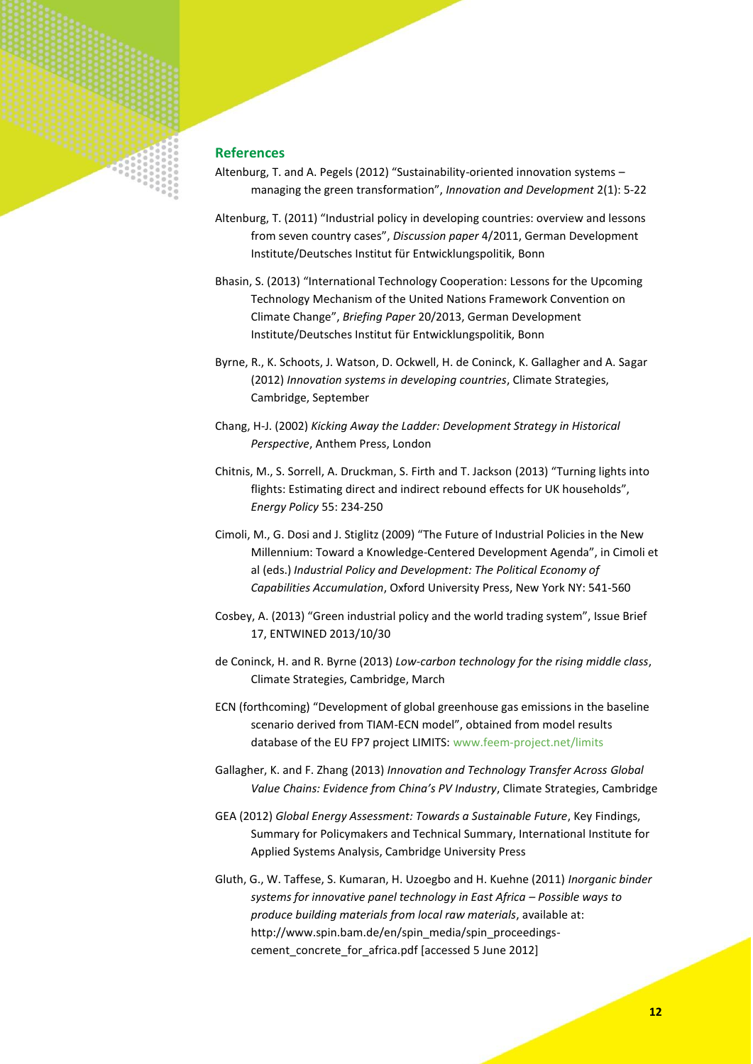

# **References**

- Altenburg, T. and A. Pegels (2012) "Sustainability-oriented innovation systems managing the green transformation", *Innovation and Development* 2(1): 5-22
- Altenburg, T. (2011) "Industrial policy in developing countries: overview and lessons from seven country cases", *Discussion paper* 4/2011, German Development Institute/Deutsches Institut für Entwicklungspolitik, Bonn
- Bhasin, S. (2013) "International Technology Cooperation: Lessons for the Upcoming Technology Mechanism of the United Nations Framework Convention on Climate Change", *Briefing Paper* 20/2013, German Development Institute/Deutsches Institut für Entwicklungspolitik, Bonn
- Byrne, R., K. Schoots, J. Watson, D. Ockwell, H. de Coninck, K. Gallagher and A. Sagar (2012) *Innovation systems in developing countries*, Climate Strategies, Cambridge, September
- Chang, H-J. (2002) *Kicking Away the Ladder: Development Strategy in Historical Perspective*, Anthem Press, London
- Chitnis, M., S. Sorrell, A. Druckman, S. Firth and T. Jackson (2013) "Turning lights into flights: Estimating direct and indirect rebound effects for UK households", *Energy Policy* 55: 234-250
- Cimoli, M., G. Dosi and J. Stiglitz (2009) "The Future of Industrial Policies in the New Millennium: Toward a Knowledge-Centered Development Agenda", in Cimoli et al (eds.) *Industrial Policy and Development: The Political Economy of Capabilities Accumulation*, Oxford University Press, New York NY: 541-560
- Cosbey, A. (2013) "Green industrial policy and the world trading system", Issue Brief 17, ENTWINED 2013/10/30
- de Coninck, H. and R. Byrne (2013) *Low-carbon technology for the rising middle class*, Climate Strategies, Cambridge, March
- ECN (forthcoming) "Development of global greenhouse gas emissions in the baseline scenario derived from TIAM-ECN model", obtained from model results database of the EU FP7 project LIMITS: [www.feem-project.net/limits](http://www.feem-project.net/limits)
- Gallagher, K. and F. Zhang (2013) *Innovation and Technology Transfer Across Global Value Chains: Evidence from China's PV Industry*, Climate Strategies, Cambridge
- GEA (2012) *Global Energy Assessment: Towards a Sustainable Future*, Key Findings, Summary for Policymakers and Technical Summary, International Institute for Applied Systems Analysis, Cambridge University Press
- Gluth, G., W. Taffese, S. Kumaran, H. Uzoegbo and H. Kuehne (2011) *Inorganic binder systems for innovative panel technology in East Africa – Possible ways to produce building materials from local raw materials*, available at: [http://www.spin.bam.de/en/spin\\_media/spin\\_proceedings](http://www.spin.bam.de/en/spin_media/spin_proceedings-cement_concrete_for_africa.pdf)cement concrete for africa.pdf [accessed 5 June 2012]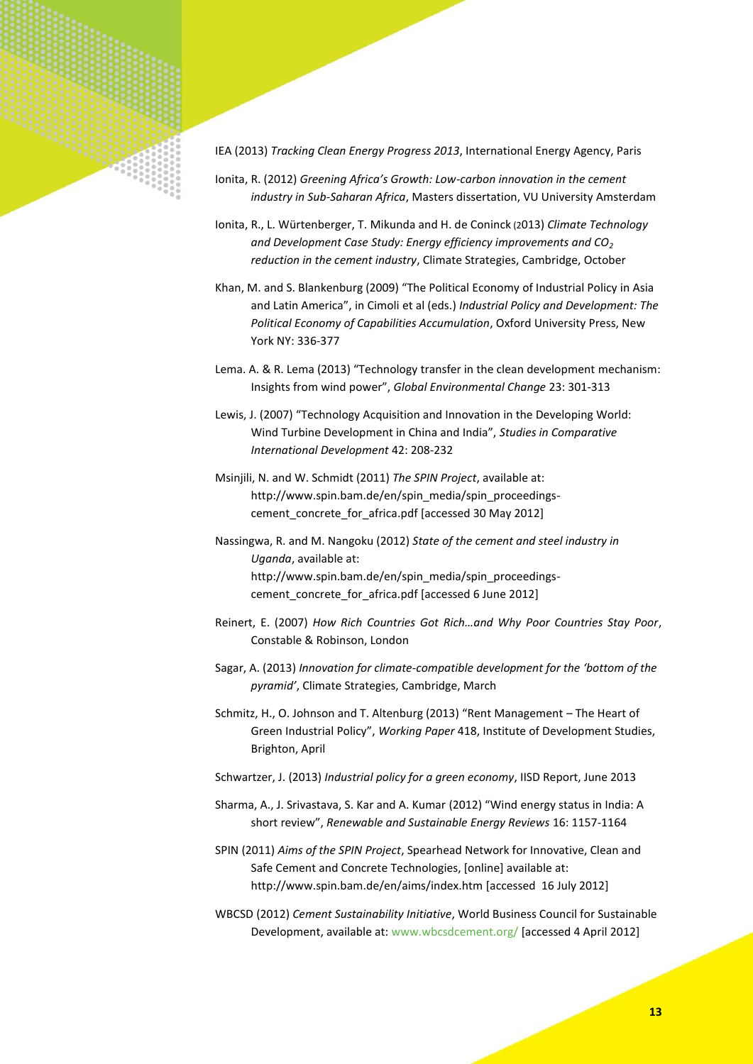

- Ionita, R. (2012) *Greening Africa's Growth: Low-carbon innovation in the cement industry in Sub-Saharan Africa*, Masters dissertation, VU University Amsterdam
- Ionita, R., L. Würtenberger, T. Mikunda and H. de Coninck (2013) *Climate Technology and Development Case Study: Energy efficiency improvements and CO<sup>2</sup> reduction in the cement industry*, Climate Strategies, Cambridge, October
- Khan, M. and S. Blankenburg (2009) "The Political Economy of Industrial Policy in Asia and Latin America", in Cimoli et al (eds.) *Industrial Policy and Development: The Political Economy of Capabilities Accumulation*, Oxford University Press, New York NY: 336-377

Lema. A. & R. Lema (2013) "Technology transfer in the clean development mechanism: Insights from wind power", *Global Environmental Change* 23: 301-313

Lewis, J. (2007) "Technology Acquisition and Innovation in the Developing World: Wind Turbine Development in China and India", *Studies in Comparative International Development* 42: 208-232

- Msinjili, N. and W. Schmidt (2011) *The SPIN Project*, available at: [http://www.spin.bam.de/en/spin\\_media/spin\\_proceedings](http://www.spin.bam.de/en/spin_media/spin_proceedings-cement_concrete_for_africa.pdf)cement concrete for africa.pdf [accessed 30 May 2012]
- Nassingwa, R. and M. Nangoku (2012) *State of the cement and steel industry in Uganda*, available at: [http://www.spin.bam.de/en/spin\\_media/spin\\_proceedings](http://www.spin.bam.de/en/spin_media/spin_proceedings-cement_concrete_for_africa.pdf)cement concrete for africa.pdf [accessed 6 June 2012]
- Reinert, E. (2007) *How Rich Countries Got Rich…and Why Poor Countries Stay Poor*, Constable & Robinson, London
- Sagar, A. (2013) *Innovation for climate-compatible development for the 'bottom of the pyramid'*, Climate Strategies, Cambridge, March

Schmitz, H., O. Johnson and T. Altenburg (2013) "Rent Management – The Heart of Green Industrial Policy", *Working Paper* 418, Institute of Development Studies, Brighton, April

- Schwartzer, J. (2013) *Industrial policy for a green economy*, IISD Report, June 2013
- Sharma, A., J. Srivastava, S. Kar and A. Kumar (2012) "Wind energy status in India: A short review", *Renewable and Sustainable Energy Reviews* 16: 1157-1164

SPIN (2011) *Aims of the SPIN Project*, Spearhead Network for Innovative, Clean and Safe Cement and Concrete Technologies, [online] available at: <http://www.spin.bam.de/en/aims/index.htm> [accessed 16 July 2012]

WBCSD (2012) *Cement Sustainability Initiative*, World Business Council for Sustainable Development, available at[: www.wbcsdcement.org/](http://www.wbcsdcement.org/) [accessed 4 April 2012]